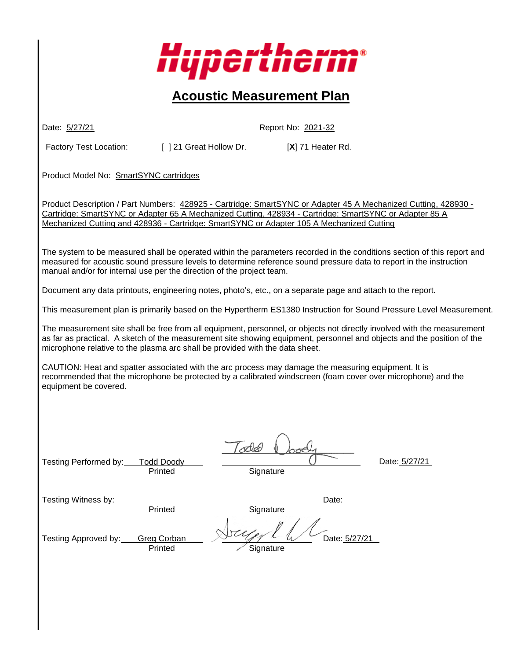

# **Acoustic Measurement Plan**

Date: 5/27/21 Report No: 2021-32

Factory Test Location: [ ] 21 Great Hollow Dr. [X] 71 Heater Rd.

Product Model No: SmartSYNC cartridges

Product Description / Part Numbers: 428925 - Cartridge: SmartSYNC or Adapter 45 A Mechanized Cutting, 428930 - Cartridge: SmartSYNC or Adapter 65 A Mechanized Cutting, 428934 - Cartridge: SmartSYNC or Adapter 85 A Mechanized Cutting and 428936 - Cartridge: SmartSYNC or Adapter 105 A Mechanized Cutting

The system to be measured shall be operated within the parameters recorded in the conditions section of this report and measured for acoustic sound pressure levels to determine reference sound pressure data to report in the instruction manual and/or for internal use per the direction of the project team.

Document any data printouts, engineering notes, photo's, etc., on a separate page and attach to the report.

This measurement plan is primarily based on the Hypertherm ES1380 Instruction for Sound Pressure Level Measurement.

The measurement site shall be free from all equipment, personnel, or objects not directly involved with the measurement as far as practical. A sketch of the measurement site showing equipment, personnel and objects and the position of the microphone relative to the plasma arc shall be provided with the data sheet.

CAUTION: Heat and spatter associated with the arc process may damage the measuring equipment. It is recommended that the microphone be protected by a calibrated windscreen (foam cover over microphone) and the equipment be covered.

| Testing Performed by: | <b>Todd Doody</b><br>Printed  | 10XC<br>᠊᠋ᡪᡔᡃᢚᢈ<br>Signature | Date: 5/27/21 |
|-----------------------|-------------------------------|------------------------------|---------------|
| Testing Witness by:   | Printed                       | Date:<br>Signature           |               |
| Testing Approved by:  | <b>Greg Corban</b><br>Printed | Date: 5/27/21<br>Signature   |               |
|                       |                               |                              |               |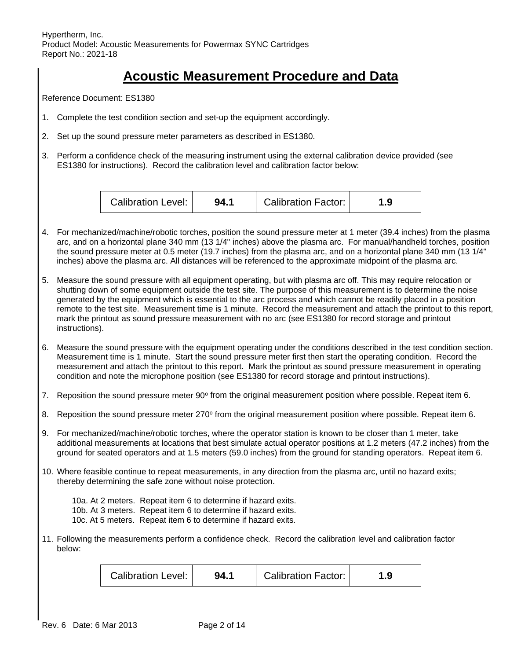## **Acoustic Measurement Procedure and Data**

Reference Document: ES1380

- 1. Complete the test condition section and set-up the equipment accordingly.
- 2. Set up the sound pressure meter parameters as described in ES1380.
- 3. Perform a confidence check of the measuring instrument using the external calibration device provided (see ES1380 for instructions). Record the calibration level and calibration factor below:



- 4. For mechanized/machine/robotic torches, position the sound pressure meter at 1 meter (39.4 inches) from the plasma arc, and on a horizontal plane 340 mm (13 1/4" inches) above the plasma arc. For manual/handheld torches, position the sound pressure meter at 0.5 meter (19.7 inches) from the plasma arc, and on a horizontal plane 340 mm (13 1/4" inches) above the plasma arc. All distances will be referenced to the approximate midpoint of the plasma arc.
- 5. Measure the sound pressure with all equipment operating, but with plasma arc off. This may require relocation or shutting down of some equipment outside the test site. The purpose of this measurement is to determine the noise generated by the equipment which is essential to the arc process and which cannot be readily placed in a position remote to the test site. Measurement time is 1 minute. Record the measurement and attach the printout to this report, mark the printout as sound pressure measurement with no arc (see ES1380 for record storage and printout instructions).
- 6. Measure the sound pressure with the equipment operating under the conditions described in the test condition section. Measurement time is 1 minute. Start the sound pressure meter first then start the operating condition. Record the measurement and attach the printout to this report. Mark the printout as sound pressure measurement in operating condition and note the microphone position (see ES1380 for record storage and printout instructions).
- 7. Reposition the sound pressure meter 90° from the original measurement position where possible. Repeat item 6.
- 8. Reposition the sound pressure meter 270° from the original measurement position where possible. Repeat item 6.
- 9. For mechanized/machine/robotic torches, where the operator station is known to be closer than 1 meter, take additional measurements at locations that best simulate actual operator positions at 1.2 meters (47.2 inches) from the ground for seated operators and at 1.5 meters (59.0 inches) from the ground for standing operators. Repeat item 6.
- 10. Where feasible continue to repeat measurements, in any direction from the plasma arc, until no hazard exits; thereby determining the safe zone without noise protection.

10a. At 2 meters. Repeat item 6 to determine if hazard exits. 10b. At 3 meters. Repeat item 6 to determine if hazard exits. 10c. At 5 meters. Repeat item 6 to determine if hazard exits.

11. Following the measurements perform a confidence check. Record the calibration level and calibration factor below:

| Calibration Level: | 94. . | <b>Calibration Factor:</b> | .9 |
|--------------------|-------|----------------------------|----|
|--------------------|-------|----------------------------|----|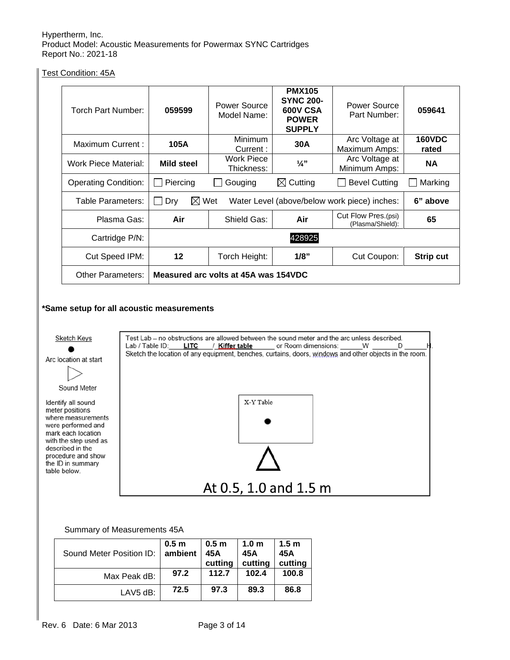Test Condition: 45A

| Torch Part Number:          | 059599                               | Power Source<br>Model Name:                                     | <b>PMX105</b><br><b>SYNC 200-</b><br><b>600V CSA</b><br><b>POWER</b><br><b>SUPPLY</b> | Power Source<br>Part Number:            | 059641                 |
|-----------------------------|--------------------------------------|-----------------------------------------------------------------|---------------------------------------------------------------------------------------|-----------------------------------------|------------------------|
| Maximum Current:            | 105A                                 | <b>Minimum</b><br>Current:                                      | 30A                                                                                   | Arc Voltage at<br>Maximum Amps:         | <b>160VDC</b><br>rated |
| Work Piece Material:        | Mild steel                           | Work Piece<br>Thickness:                                        | $\frac{1}{4}$ "                                                                       | Arc Voltage at<br>Minimum Amps:         | <b>NA</b>              |
| <b>Operating Condition:</b> | Piercing                             | Gouging                                                         | $\boxtimes$ Cutting                                                                   | <b>Bevel Cutting</b>                    | Marking                |
| Table Parameters:           | Dry                                  | $\boxtimes$ Wet<br>Water Level (above/below work piece) inches: |                                                                                       |                                         | 6" above               |
| Plasma Gas:                 | Air                                  | Shield Gas:                                                     | Air                                                                                   | Cut Flow Pres.(psi)<br>(Plasma/Shield): | 65                     |
| Cartridge P/N:              | 428925                               |                                                                 |                                                                                       |                                         |                        |
| Cut Speed IPM:              | 12                                   | Torch Height:                                                   | 1/8"                                                                                  | Cut Coupon:                             | <b>Strip cut</b>       |
| <b>Other Parameters:</b>    | Measured arc volts at 45A was 154VDC |                                                                 |                                                                                       |                                         |                        |

#### **\*Same setup for all acoustic measurements**



#### Summary of Measurements 45A

| Sound Meter Position ID: I | 0.5 <sub>m</sub><br>ambient | 0.5 <sub>m</sub><br>45A<br>cutting | 1.0 <sub>m</sub><br>45A<br>cutting | 1.5 <sub>m</sub><br>45A<br>cutting |
|----------------------------|-----------------------------|------------------------------------|------------------------------------|------------------------------------|
| Max Peak dB:               | 97.2                        | 112.7                              | 102.4                              | 100.8                              |
| LAV5 dB:                   | 72.5                        | 97.3                               | 89.3                               | 86.8                               |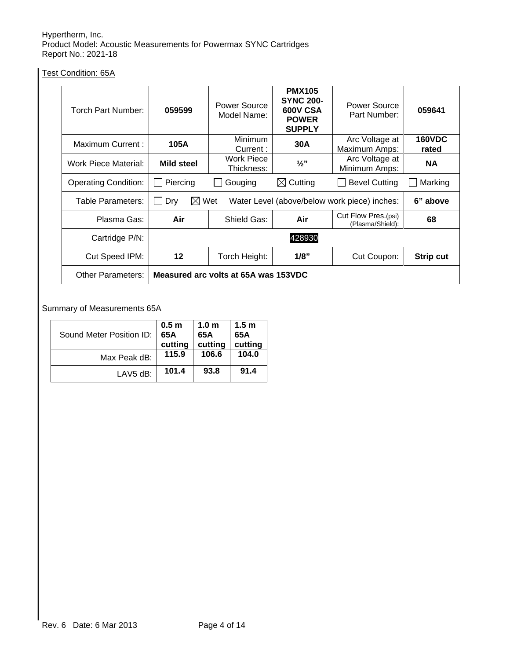Test Condition: 65A

| Torch Part Number:          | 059599                               | Power Source<br>Model Name:                                     | <b>PMX105</b><br><b>SYNC 200-</b><br><b>600V CSA</b><br><b>POWER</b><br><b>SUPPLY</b> | Power Source<br>Part Number:            | 059641                 |
|-----------------------------|--------------------------------------|-----------------------------------------------------------------|---------------------------------------------------------------------------------------|-----------------------------------------|------------------------|
| Maximum Current:            | 105A                                 | <b>Minimum</b><br>Current:                                      | 30A                                                                                   | Arc Voltage at<br>Maximum Amps:         | <b>160VDC</b><br>rated |
| Work Piece Material:        | Mild steel                           | <b>Work Piece</b><br>Thickness:                                 | $\frac{1}{2}$ "                                                                       | Arc Voltage at<br>Minimum Amps:         | <b>NA</b>              |
| <b>Operating Condition:</b> | Piercing                             | Gouging                                                         | $\boxtimes$ Cutting                                                                   | <b>Bevel Cutting</b>                    | Marking                |
| Table Parameters:           | Dry                                  | $\boxtimes$ Wet<br>Water Level (above/below work piece) inches: |                                                                                       |                                         | 6" above               |
| Plasma Gas:                 | Air                                  | Shield Gas:                                                     | Air                                                                                   | Cut Flow Pres.(psi)<br>(Plasma/Shield): | 68                     |
| Cartridge P/N:              | 428930                               |                                                                 |                                                                                       |                                         |                        |
| Cut Speed IPM:              | 12                                   | Torch Height:                                                   | 1/8"                                                                                  | Cut Coupon:                             | <b>Strip cut</b>       |
| Other Parameters:           | Measured arc volts at 65A was 153VDC |                                                                 |                                                                                       |                                         |                        |

### Summary of Measurements 65A

| Sound Meter Position ID: | 0.5 <sub>m</sub><br>65A<br>cutting | 1.0 <sub>m</sub><br>65A<br>cutting | 1.5 <sub>m</sub><br>65A<br>cutting |
|--------------------------|------------------------------------|------------------------------------|------------------------------------|
| Max Peak dB:             | 115.9                              | 106.6                              | 104.0                              |
| LAV5 dB:                 | 101.4                              | 93.8                               | 91.4                               |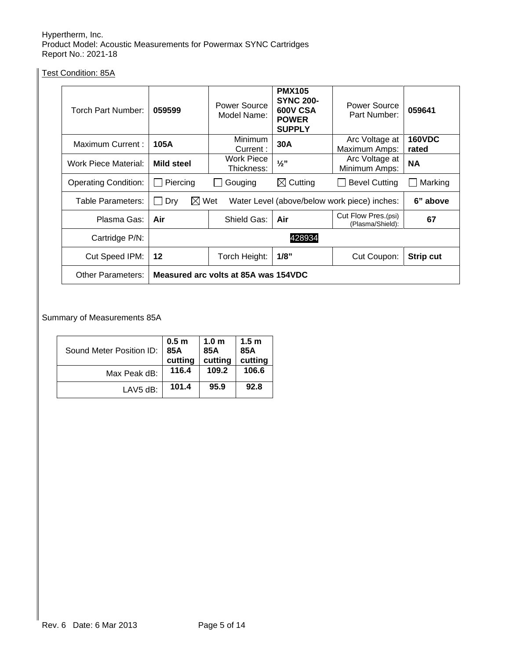Test Condition: 85A

| Torch Part Number:          | 059599                                                                             | Power Source<br>Model Name:     | <b>PMX105</b><br><b>SYNC 200-</b><br><b>600V CSA</b><br><b>POWER</b><br><b>SUPPLY</b> | Power Source<br>Part Number:            | 059641                 |
|-----------------------------|------------------------------------------------------------------------------------|---------------------------------|---------------------------------------------------------------------------------------|-----------------------------------------|------------------------|
| Maximum Current:            | 105A                                                                               | Minimum<br>Current:             | 30A                                                                                   | Arc Voltage at<br>Maximum Amps:         | <b>160VDC</b><br>rated |
| Work Piece Material:        | <b>Mild steel</b>                                                                  | <b>Work Piece</b><br>Thickness: | $\frac{1}{2}$                                                                         | Arc Voltage at<br>Minimum Amps:         | <b>NA</b>              |
| <b>Operating Condition:</b> | Piercing                                                                           | Gouging                         | $\boxtimes$ Cutting                                                                   | <b>Bevel Cutting</b>                    | Marking                |
| Table Parameters:           | $\boxtimes$ Wet<br>Dry<br>Water Level (above/below work piece) inches:<br>6" above |                                 |                                                                                       |                                         |                        |
| Plasma Gas:                 | Air                                                                                | Shield Gas:                     | Air                                                                                   | Cut Flow Pres.(psi)<br>(Plasma/Shield): | 67                     |
| Cartridge P/N:              | 428934                                                                             |                                 |                                                                                       |                                         |                        |
| Cut Speed IPM:              | 12                                                                                 | Torch Height:                   | 1/8"                                                                                  | Cut Coupon:                             | <b>Strip cut</b>       |
| Other Parameters:           | Measured arc volts at 85A was 154VDC                                               |                                 |                                                                                       |                                         |                        |

Summary of Measurements 85A

| Sound Meter Position ID: | 0.5 <sub>m</sub><br>85A<br>cutting | 1.0 <sub>m</sub><br>85A<br>cutting | 1.5 <sub>m</sub><br>85A<br>cutting |
|--------------------------|------------------------------------|------------------------------------|------------------------------------|
| Max Peak dB:             | 116.4                              | 109.2                              | 106.6                              |
| $LAV5 dB$ :              | 101.4                              | 95.9                               | 92.8                               |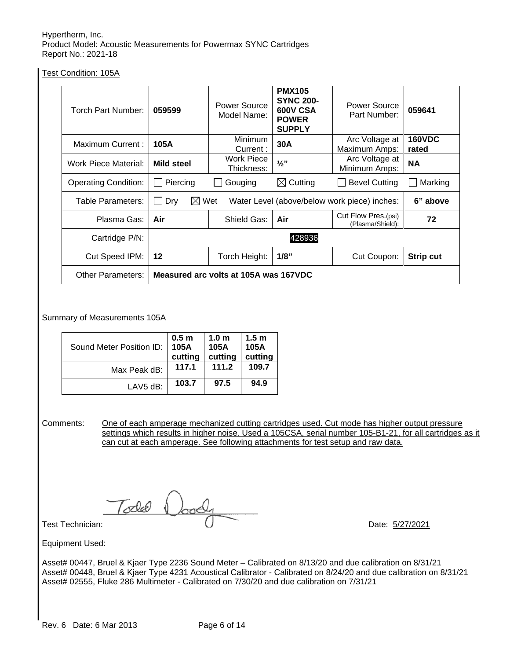Test Condition: 105A

| Torch Part Number:          | 059599                                | Power Source<br>Model Name:                                                 | <b>PMX105</b><br><b>SYNC 200-</b><br><b>600V CSA</b><br><b>POWER</b><br><b>SUPPLY</b> | Power Source<br>Part Number:            | 059641                 |
|-----------------------------|---------------------------------------|-----------------------------------------------------------------------------|---------------------------------------------------------------------------------------|-----------------------------------------|------------------------|
| Maximum Current:            | 105A                                  | Minimum<br>Current:                                                         | 30A                                                                                   | Arc Voltage at<br>Maximum Amps:         | <b>160VDC</b><br>rated |
| Work Piece Material:        | <b>Mild steel</b>                     | <b>Work Piece</b><br>Thickness:                                             | $\frac{1}{2}$ "                                                                       | Arc Voltage at<br>Minimum Amps:         | <b>NA</b>              |
| <b>Operating Condition:</b> | Piercing                              | Gouging                                                                     | $\boxtimes$ Cutting                                                                   | <b>Bevel Cutting</b>                    | Marking                |
| Table Parameters:           | Dry                                   | $\boxtimes$ Wet<br>Water Level (above/below work piece) inches:<br>6" above |                                                                                       |                                         |                        |
| Plasma Gas:                 | Air                                   | Shield Gas:                                                                 | Air                                                                                   | Cut Flow Pres.(psi)<br>(Plasma/Shield): | 72                     |
| Cartridge P/N:              | 428936                                |                                                                             |                                                                                       |                                         |                        |
| Cut Speed IPM:              | $12 \,$                               | Torch Height:                                                               | 1/8"                                                                                  | Cut Coupon:                             | <b>Strip cut</b>       |
| <b>Other Parameters:</b>    | Measured arc volts at 105A was 167VDC |                                                                             |                                                                                       |                                         |                        |

Summary of Measurements 105A

| Sound Meter Position ID: | 0.5 <sub>m</sub><br>105A<br>cutting | 1.0 <sub>m</sub><br>105A<br>cutting | 1.5 <sub>m</sub><br>105A<br>cutting |
|--------------------------|-------------------------------------|-------------------------------------|-------------------------------------|
| Max Peak dB:             | 117.1                               | 111.2                               | 109.7                               |
| LAV5 dB:                 | 103.7                               | 97.5                                | 94.9                                |

Comments: One of each amperage mechanized cutting cartridges used. Cut mode has higher output pressure settings which results in higher noise. Used a 105CSA, serial number 105-B1-21, for all cartridges as it can cut at each amperage. See following attachments for test setup and raw data.

Todd Doody<br>Test Technician: Date: 5/27/2021

Equipment Used:

Asset# 00447, Bruel & Kjaer Type 2236 Sound Meter – Calibrated on 8/13/20 and due calibration on 8/31/21 Asset# 00448, Bruel & Kjaer Type 4231 Acoustical Calibrator - Calibrated on 8/24/20 and due calibration on 8/31/21 Asset# 02555, Fluke 286 Multimeter - Calibrated on 7/30/20 and due calibration on 7/31/21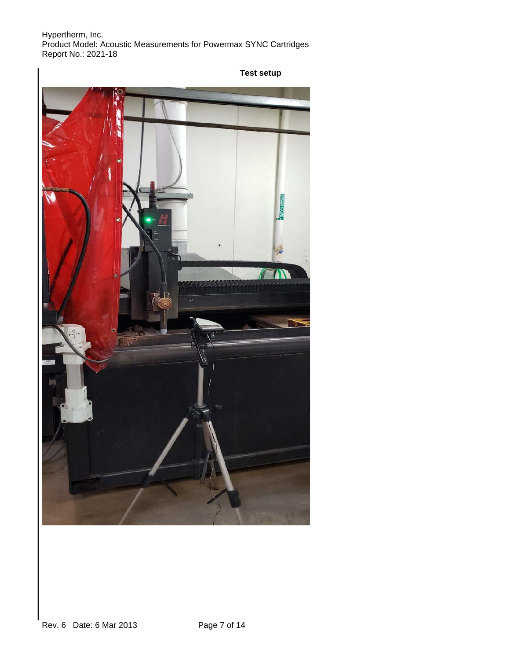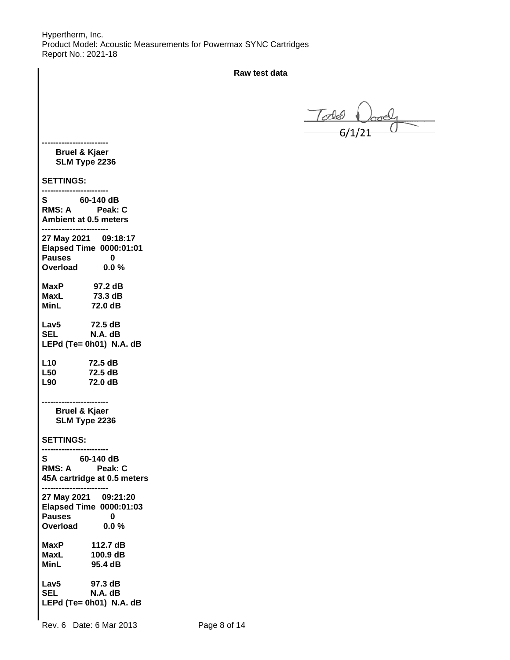**Raw test data**

 $T$ ode body

#### **------------------------ Bruel & Kjaer SLM Type 2236**

**------------------------**

### **SETTINGS:**

| S<br>60-140 dB<br><b>RMS: A</b><br>Peak: C<br><b>Ambient at 0.5 meters</b>                            |              |
|-------------------------------------------------------------------------------------------------------|--------------|
| 27 May 2021 09:18:17<br><b>Elapsed Time 0000:01:01</b><br>Pauses 0<br>Overload 0.0 %                  |              |
| 97.2 dB<br>MaxP<br>73.3 dB<br>MaxL<br>MinL<br>72.0 dB                                                 |              |
| Lav5<br>72.5 dB<br>SEL<br>N.A. dB<br>LEPd (Te= 0h01) N.A. dB                                          |              |
| L10<br>72.5 dB<br><b>L50</b><br>72.5 dB<br>L90 <b>D</b><br>72.0 dB                                    |              |
| <b>Bruel &amp; Kjaer</b><br>SLM Type 2236                                                             |              |
| <b>SETTINGS:</b>                                                                                      |              |
| 60-140 dB<br>S<br>RMS: A<br>Peak: C<br>45A cartridge at 0.5 meters<br>-----------------------         |              |
| 27 May 2021 09:21:20<br><b>Elapsed Time 0000:01:03</b><br><b>Pauses</b><br>$\bf{0}$<br>Overload 0.0 % |              |
| <b>MaxP</b><br>112.7 dB<br><b>MaxL</b><br>100.9 dB<br>MinL<br>95.4 dB                                 |              |
| 97.3 dB<br>Lav5<br><b>SEL</b><br>N.A. dB<br>LEPd (Te= 0h01) N.A. dB                                   |              |
| Date: 6 Mar 2013<br>Rev. 6                                                                            | Page 8 of 14 |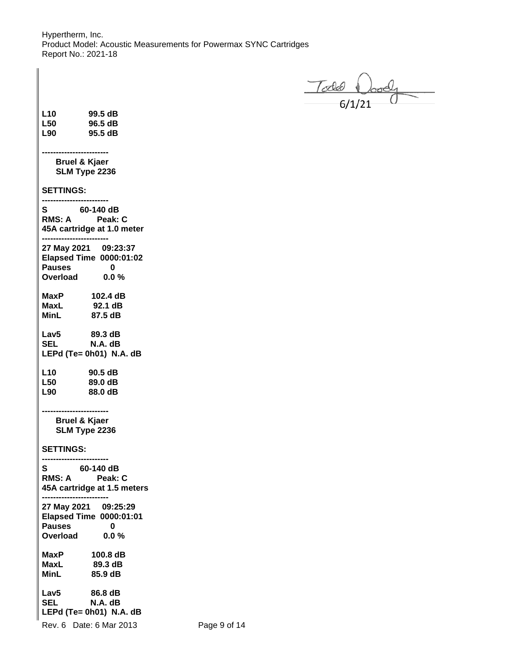$T$ odel  $\bigcup_{6/1/21}$ 

| L10<br>L50<br>L90                         | 99.5 dB<br>96.5 dB<br>95.5 dB                                          |
|-------------------------------------------|------------------------------------------------------------------------|
| <b>Bruel &amp; Kjaer</b><br>SLM Type 2236 |                                                                        |
| <b>SETTINGS:</b>                          |                                                                        |
| S 60-140 dB<br>RMS: A Peak: C             | 45A cartridge at 1.0 meter                                             |
| ್ವತ್ತ<br>Overload                         | 27 May 2021 09:23:37<br>Elapsed Time 0000:01:02<br>0<br>0.0%           |
| MaxP<br>MaxL<br>MinL                      | 102.4 dB<br>92.1 dB<br>87.5 dB                                         |
| Lav5<br><b>SEL</b>                        | 89.3 dB<br>N.A. dB<br>LEPd (Te= 0h01) N.A. dB                          |
| L10<br>L50<br>L90                         | 90.5 dB<br>89.0 dB<br>88.0 dB                                          |
| <b>Bruel &amp; Kjaer</b><br>SLM Type 2236 |                                                                        |
| <b>SETTINGS:</b>                          |                                                                        |
| S                                         | 60-140 dB<br>RMS: A Peak: C<br>45A cartridge at 1.5 meters             |
| <b>Pauses</b><br>Overload                 | 27 May 2021 09:25:29<br><b>Elapsed Time 0000:01:01</b><br>0<br>$0.0\%$ |
| MaxP<br><b>MaxL</b><br>MinL               | 100.8 dB<br>89.3 dB<br>85.9 dB                                         |
| Lav <sub>5</sub><br><b>SEL</b>            | 86.8 dB<br>N.A. dB<br>LEPd (Te= 0h01) N.A. dB                          |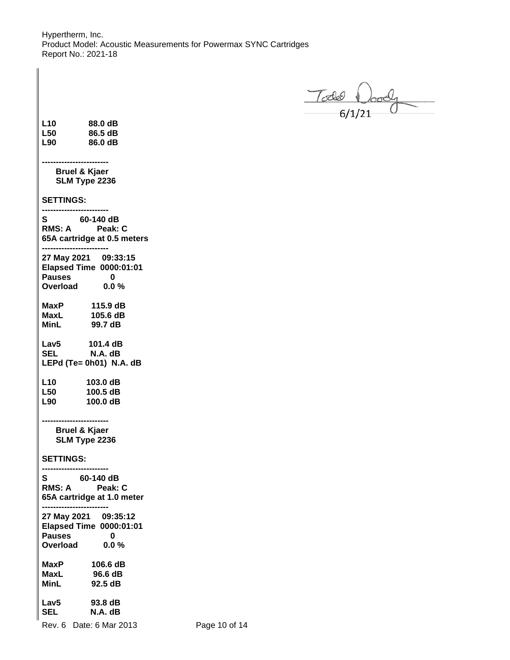$\frac{1}{640}$ 

| L <sub>10</sub><br>L <sub>50</sub><br>L90       | 88.0 dB<br>86.5 dB<br>86.0 dB                                          |
|-------------------------------------------------|------------------------------------------------------------------------|
|                                                 | Bruel & Kjaer<br>SLM Type 2236                                         |
| <b>SETTINGS:</b>                                |                                                                        |
| S.                                              | 60-140 dB<br>RMS: A Peak: C<br>65A cartridge at 0.5 meters             |
| <b>Pauses</b><br>. <sub>uuses</sub><br>Overload | 27 May 2021 09:33:15<br>Elapsed Time 0000:01:01<br>$\bf{0}$<br>0.0%    |
| MinL                                            | 99.7 dB                                                                |
| <b>SEL</b>                                      | Lav5 $101.4 \text{ dB}$<br>N.A. dB<br>LEPd (Te= 0h01) N.A. dB          |
| L <sub>10</sub><br><b>L50</b><br>L90            | 103.0 dB<br>100.5 dB<br>100.0 dB                                       |
|                                                 | <b>Bruel &amp; Kjaer</b><br>SLM Type 2236                              |
| <b>SETTINGS:</b>                                |                                                                        |
| S i<br>RMS: A                                   | 60-140 dB<br><b>Peak: C</b><br>65A cartridge at 1.0 meter              |
| <b>Pauses</b><br>Overload                       | 27 May 2021 09:35:12<br><b>Elapsed Time 0000:01:01</b><br>0<br>$0.0\%$ |
| MaxP<br>MaxL<br>MinL                            | 106.6 dB<br>96.6 dB<br>92.5 dB                                         |
| Lav5<br><b>SEL</b>                              | 93.8 dB<br>N.A. dB                                                     |

Rev. 6 Date: 6 Mar 2013 Page 10 of 14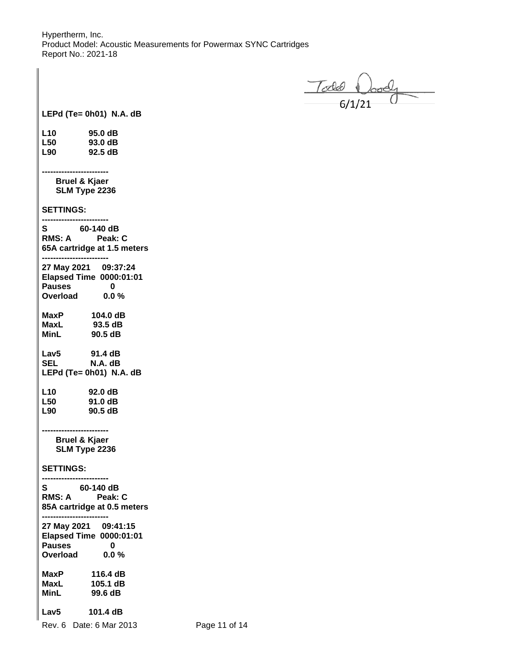$\frac{70000}{61/21}$ 

**LEPd (Te= 0h01) N.A. dB**

| L10 | 95.0 dB |
|-----|---------|
| L50 | 93.0 dB |
| L90 | 92.5 dB |

 **Bruel & Kjaer SLM Type 2236**

**------------------------**

**SETTINGS:**

| ------                                                                                                                 |
|------------------------------------------------------------------------------------------------------------------------|
| S 60-140 dB<br>RMS: A Peak: C<br>65A cartridge at 1.5 meters                                                           |
| 27 May 2021 09:37:24<br>Elapsed Time 0000:01:01<br>$\bf{0}$<br>್ಷವಾರ<br>Overload<br>0.0%                               |
| MaxP<br>104.0 dB<br>93.5 dB<br>MaxL<br>90.5 dB<br>MinL                                                                 |
| Lav5<br>91.4 dB<br>N.A. dB<br><b>SEL</b><br>LEPd (Te= 0h01) N.A. dB                                                    |
| 92.0 dB<br>L10<br>91.0 dB<br>L <sub>50</sub><br>L90<br>90.5 dB                                                         |
| <b>Bruel &amp; Kjaer</b><br>SLM Type 2236                                                                              |
| <b>SETTINGS:</b>                                                                                                       |
| $60-140 \text{ dB}$<br>RMS: A<br>Peak: C<br>85A cartridge at 0.5 meters<br>---------                                   |
| 27 May 2021 09:41:15<br>Elapsed Time 0000:01:01<br><b>Pauses</b><br>$\bf{0}$<br><sub>r</sub> auses<br>Overload<br>0.0% |
| MaxP<br>116.4 dB<br>105.1 dB<br>MaxL<br><b>MinL</b><br>99.6 dB                                                         |
| 101.4 dB<br>Lav5                                                                                                       |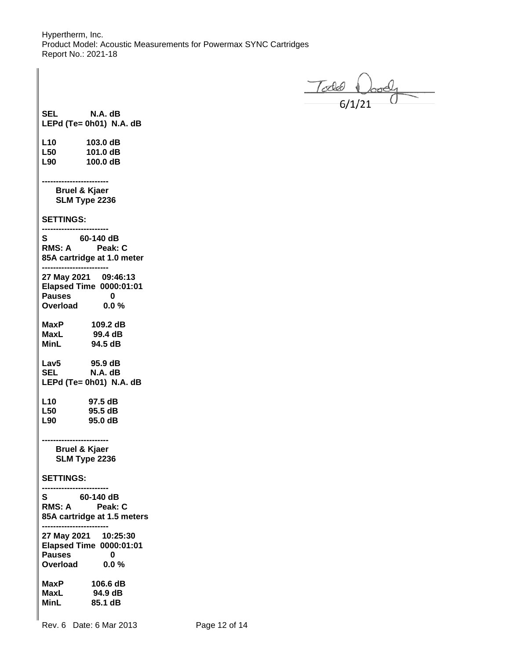$\frac{1}{10000}$   $\frac{1}{10000}$ 

**SEL N.A. dB LEPd (Te= 0h01) N.A. dB L10 103.0 dB L50 101.0 dB L90 100.0 dB ------------------------ Bruel & Kjaer SLM Type 2236 SETTINGS: ------------------------ S** 60-140 dB<br>RMS: A Peak: **Peak: C 85A cartridge at 1.0 meter ------------------------ 27 May 2021 09:46:13 Elapsed Time 0000:01:01 Pauses 0 Overload 0.0 % MaxP 109.2 dB MaxL 99.4 dB MinL 94.5 dB Lav5 95.9 dB SEL N.A. dB LEPd (Te= 0h01) N.A. dB L10 97.5 dB L50 95.5 dB L90 95.0 dB ------------------------ Bruel & Kjaer SLM Type 2236 SETTINGS: ------------------------ S 60-140 dB RMS: A Peak: C 85A cartridge at 1.5 meters ------------------------ 27 May 2021 10:25:30 Elapsed Time 0000:01:01** Pauses 0<br>Overload 0.0 % **Overload MaxP 106.6 dB MaxL 94.9 dB MinL 85.1 dB**

Rev. 6 Date: 6 Mar 2013 Page 12 of 14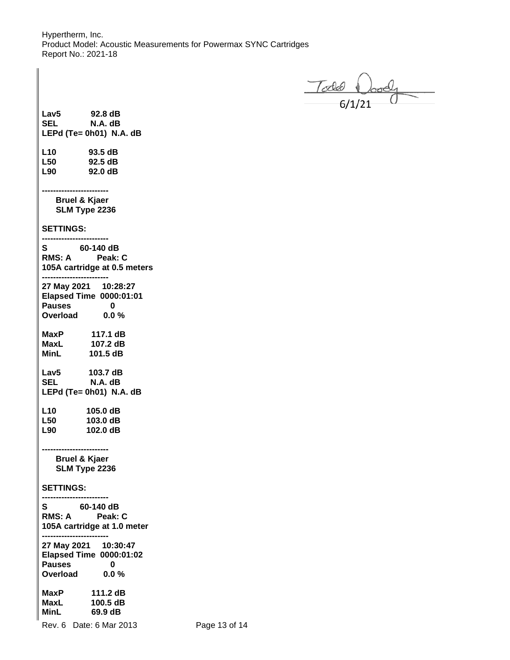$\frac{7}{640}$   $\frac{1}{21}$ 

**Lav5 92.8 dB SEL N.A. dB LEPd (Te= 0h01) N.A. dB L10 93.5 dB L50 92.5 dB L90 92.0 dB ------------------------ Bruel & Kjaer SLM Type 2236 SETTINGS: ------------------------ S** 60-140 dB<br>RMS: A Peak: C **RMS: A 105A cartridge at 0.5 meters ------------------------ 27 May 2021 10:28:27 Elapsed Time 0000:01:01** Pauses 0<br>Overload 0.0% **Overload MaxP 117.1 dB MaxL 107.2 dB MinL 101.5 dB Lav5 103.7 dB SEL N.A. dB LEPd (Te= 0h01) N.A. dB L10 105.0 dB L50 103.0 dB L90 102.0 dB ------------------------ Bruel & Kjaer SLM Type 2236 SETTINGS: ------------------------ S 60-140 dB RMS: A Peak: C 105A cartridge at 1.0 meter ------------------------ 27 May 2021 10:30:47 Elapsed Time 0000:01:02** Pauses 0<br>Overload 0.0 % **Overload MaxP 111.2 dB MaxL 100.5 dB MinL 69.9 dB**

Rev. 6 Date: 6 Mar 2013 Page 13 of 14